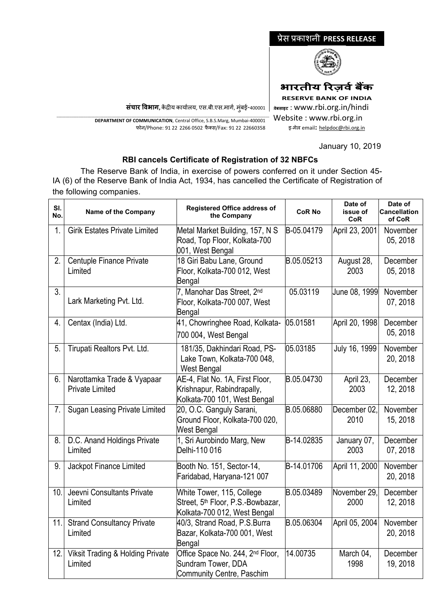## प्रेस प्रकाशनी **PRESS RELEASE**



**भारतीय �रज़वर्बक�**

**RESERVE BANK OF INDIA**

**<sup>0</sup>वेबसाइट** : www.rbi.org.in/hindi Website : www.rbi.org.in इ-मेल email**:** [helpdoc@rbi.org.in](mailto:helpdoc@rbi.org.in)

January 10, 2019

**संचार �वभाग,** क�द्र�य कायार्लय, एस.बी.एस.मागर्, मुंबई-400001

\_\_\_\_\_\_\_\_\_\_\_\_\_\_\_\_\_\_\_\_\_\_\_\_\_\_\_\_\_\_\_\_\_\_\_\_\_\_\_\_\_\_\_\_\_\_\_\_\_\_\_\_\_\_\_\_\_\_\_\_\_\_\_\_\_\_\_\_\_\_\_\_\_\_\_\_\_\_\_\_\_\_\_\_\_\_\_\_\_\_\_\_\_\_\_\_\_\_\_\_\_\_\_\_\_\_\_\_\_\_\_\_\_\_\_\_\_ **DEPARTMENT OF COMMUNICATION**, Central Office, S.B.S.Marg, Mumbai-400001 फोन/Phone: 91 22 2266 0502 फै क्स/Fax: 91 22 22660358

## **RBI cancels Certificate of Registration of 32 NBFCs**

 The Reserve Bank of India, in exercise of powers conferred on it under Section 45- IA (6) of the Reserve Bank of India Act, 1934, has cancelled the Certificate of Registration of the following companies.

| SI.<br>No.       | Name of the Company                                    | <b>Registered Office address of</b><br>the Company                                                         | <b>CoR No</b> | Date of<br>issue of<br><b>CoR</b> | Date of<br><b>Cancellation</b><br>of CoR |
|------------------|--------------------------------------------------------|------------------------------------------------------------------------------------------------------------|---------------|-----------------------------------|------------------------------------------|
| $\overline{1}$ . | <b>Girik Estates Private Limited</b>                   | Metal Market Building, 157, N S<br>Road, Top Floor, Kolkata-700<br>001, West Bengal                        | B-05.04179    | April 23, 2001                    | November<br>05, 2018                     |
| 2.               | Centuple Finance Private<br>Limited                    | 18 Giri Babu Lane, Ground<br>Floor, Kolkata-700 012, West<br>Bengal                                        | B.05.05213    | August 28,<br>2003                | December<br>05, 2018                     |
| 3 <sub>1</sub>   | Lark Marketing Pvt. Ltd.                               | 7, Manohar Das Street, 2nd<br>Floor, Kolkata-700 007, West<br>Bengal                                       | 05.03119      | June 08, 1999                     | November<br>07, 2018                     |
| 4.               | Centax (India) Ltd.                                    | 41, Chowringhee Road, Kolkata-<br>700 004, West Bengal                                                     | 05.01581      | April 20, 1998                    | December<br>05, 2018                     |
| 5.               | Tirupati Realtors Pvt. Ltd.                            | 181/35, Dakhindari Road, PS-<br>Lake Town, Kolkata-700 048,<br>West Bengal                                 | 05.03185      | July 16, 1999                     | November<br>20, 2018                     |
| 6.               | Narottamka Trade & Vyapaar<br><b>Private Limited</b>   | AE-4, Flat No. 1A, First Floor,<br>Krishnapur, Rabindrapally,<br>Kolkata-700 101, West Bengal              | B.05.04730    | April 23,<br>2003                 | December<br>12, 2018                     |
| 7.               | <b>Sugan Leasing Private Limited</b>                   | 20, O.C. Ganguly Sarani,<br>Ground Floor, Kolkata-700 020,<br>West Bengal                                  | B.05.06880    | December 02,<br>2010              | November<br>15, 2018                     |
| 8.               | D.C. Anand Holdings Private<br>Limited                 | 1, Sri Aurobindo Marg, New<br>Delhi-110 016                                                                | B-14.02835    | January 07,<br>2003               | December<br>07, 2018                     |
| 9.               | Jackpot Finance Limited                                | Booth No. 151, Sector-14,<br>Faridabad, Haryana-121 007                                                    | B-14.01706    | April 11, 2000                    | November<br>20, 2018                     |
| 10.              | Jeevni Consultants Private<br>Limited                  | White Tower, 115, College<br>Street, 5 <sup>th</sup> Floor, P.S.-Bowbazar,<br>Kolkata-700 012, West Bengal | B.05.03489    | November 29,<br>2000              | December<br>12, 2018                     |
| 11.              | <b>Strand Consultancy Private</b><br>Limited           | 40/3, Strand Road, P.S.Burra<br>Bazar, Kolkata-700 001, West<br>Bengal                                     | B.05.06304    | April 05, 2004                    | November<br>20, 2018                     |
| 12.              | <b>Viksit Trading &amp; Holding Private</b><br>Limited | Office Space No. 244, 2 <sup>nd</sup> Floor,<br>Sundram Tower, DDA<br>Community Centre, Paschim            | 14.00735      | March 04,<br>1998                 | December<br>19, 2018                     |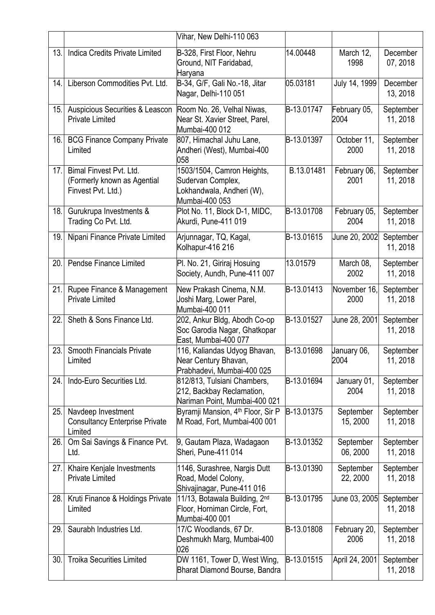|     |                                                                              | Vihar, New Delhi-110 063                                                                       |            |                       |                       |
|-----|------------------------------------------------------------------------------|------------------------------------------------------------------------------------------------|------------|-----------------------|-----------------------|
| 13. | Indica Credits Private Limited                                               | B-328, First Floor, Nehru<br>Ground, NIT Faridabad,<br>Haryana                                 | 14.00448   | March 12,<br>1998     | December<br>07, 2018  |
| 14. | Liberson Commodities Pvt. Ltd.                                               | B-34, G/F, Gali No.-18, Jitar<br>Nagar, Delhi-110 051                                          | 05.03181   | July 14, 1999         | December<br>13, 2018  |
| 15. | Auspicious Securities & Leascon<br><b>Private Limited</b>                    | Room No. 26, Velhal Niwas,<br>Near St. Xavier Street, Parel,<br>Mumbai-400 012                 | B-13.01747 | February 05,<br>2004  | September<br>11, 2018 |
| 16. | <b>BCG Finance Company Private</b><br>Limited                                | 807, Himachal Juhu Lane,<br>Andheri (West), Mumbai-400<br>058                                  | B-13.01397 | October 11,<br>2000   | September<br>11, 2018 |
| 17. | Bimal Finvest Pvt. Ltd.<br>(Formerly known as Agential<br>Finvest Pvt. Ltd.) | 1503/1504, Camron Heights,<br>Sudervan Complex,<br>Lokhandwala, Andheri (W),<br>Mumbai-400 053 | B.13.01481 | February 06,<br>2001  | September<br>11, 2018 |
| 18. | Gurukrupa Investments &<br>Trading Co Pvt. Ltd.                              | Plot No. 11, Block D-1, MIDC,<br>Akurdi, Pune-411 019                                          | B-13.01708 | February 05,<br>2004  | September<br>11, 2018 |
| 19. | Nipani Finance Private Limited                                               | Arjunnagar, TQ, Kagal,<br>Kolhapur-416 216                                                     | B-13.01615 | June 20, 2002         | September<br>11, 2018 |
| 20. | Pendse Finance Limited                                                       | Pl. No. 21, Giriraj Hosuing<br>Society, Aundh, Pune-411 007                                    | 13.01579   | March 08,<br>2002     | September<br>11, 2018 |
| 21. | Rupee Finance & Management<br><b>Private Limited</b>                         | New Prakash Cinema, N.M.<br>Joshi Marg, Lower Parel,<br>Mumbai-400 011                         | B-13.01413 | November 16,<br>2000  | September<br>11, 2018 |
| 22. | Sheth & Sons Finance Ltd.                                                    | 202, Ankur Bldg, Abodh Co-op<br>Soc Garodia Nagar, Ghatkopar<br>East, Mumbai-400 077           | B-13.01527 | June 28, 2001         | September<br>11, 2018 |
| 23. | <b>Smooth Financials Private</b><br>Limited                                  | 116, Kaliandas Udyog Bhavan,<br>Near Century Bhavan,<br>Prabhadevi, Mumbai-400 025             | B-13.01698 | January 06,<br>2004   | September<br>11, 2018 |
| 24. | Indo-Euro Securities Ltd.                                                    | 812/813, Tulsiani Chambers,<br>212, Backbay Reclamation,<br>Nariman Point, Mumbai-400 021      | B-13.01694 | January 01,<br>2004   | September<br>11, 2018 |
| 25. | Navdeep Investment<br><b>Consultancy Enterprise Private</b><br>Limited       | Byramji Mansion, 4 <sup>th</sup> Floor, Sir P<br>M Road, Fort, Mumbai-400 001                  | B-13.01375 | September<br>15, 2000 | September<br>11, 2018 |
| 26. | Om Sai Savings & Finance Pvt.<br>Ltd.                                        | 9, Gautam Plaza, Wadagaon<br>Sheri, Pune-411 014                                               | B-13.01352 | September<br>06, 2000 | September<br>11, 2018 |
| 27. | Khaire Kenjale Investments<br><b>Private Limited</b>                         | 1146, Surashree, Nargis Dutt<br>Road, Model Colony,<br>Shivajinagar, Pune-411 016              | B-13.01390 | September<br>22, 2000 | September<br>11, 2018 |
| 28. | Kruti Finance & Holdings Private<br>Limited                                  | 11/13, Botawala Building, 2nd<br>Floor, Horniman Circle, Fort,<br>Mumbai-400 001               | B-13.01795 | June 03, 2005         | September<br>11, 2018 |
| 29. | Saurabh Industries Ltd.                                                      | 17/C Woodlands, 67 Dr.<br>Deshmukh Marg, Mumbai-400<br>026                                     | B-13.01808 | February 20,<br>2006  | September<br>11, 2018 |
| 30. | <b>Troika Securities Limited</b>                                             | DW 1161, Tower D, West Wing,<br>Bharat Diamond Bourse, Bandra                                  | B-13.01515 | April 24, 2001        | September<br>11, 2018 |